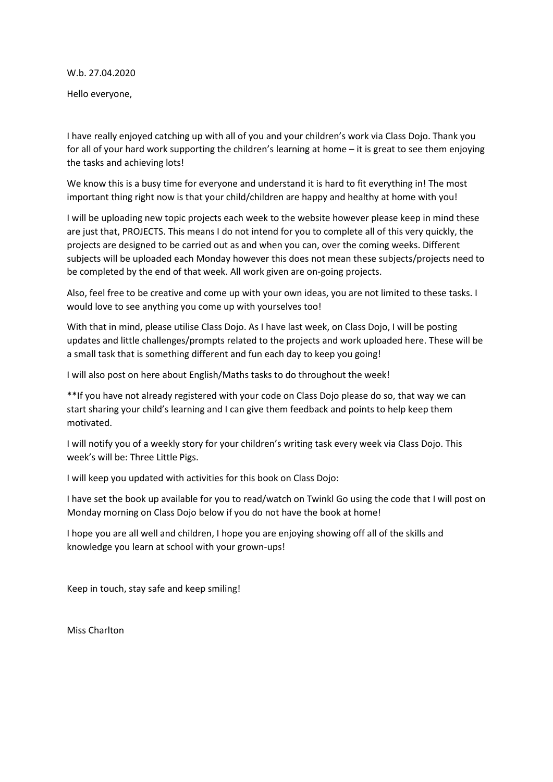W.b. 27.04.2020

Hello everyone,

I have really enjoyed catching up with all of you and your children's work via Class Dojo. Thank you for all of your hard work supporting the children's learning at home – it is great to see them enjoying the tasks and achieving lots!

We know this is a busy time for everyone and understand it is hard to fit everything in! The most important thing right now is that your child/children are happy and healthy at home with you!

I will be uploading new topic projects each week to the website however please keep in mind these are just that, PROJECTS. This means I do not intend for you to complete all of this very quickly, the projects are designed to be carried out as and when you can, over the coming weeks. Different subjects will be uploaded each Monday however this does not mean these subjects/projects need to be completed by the end of that week. All work given are on-going projects.

Also, feel free to be creative and come up with your own ideas, you are not limited to these tasks. I would love to see anything you come up with yourselves too!

With that in mind, please utilise Class Dojo. As I have last week, on Class Dojo, I will be posting updates and little challenges/prompts related to the projects and work uploaded here. These will be a small task that is something different and fun each day to keep you going!

I will also post on here about English/Maths tasks to do throughout the week!

\*\*If you have not already registered with your code on Class Dojo please do so, that way we can start sharing your child's learning and I can give them feedback and points to help keep them motivated.

I will notify you of a weekly story for your children's writing task every week via Class Dojo. This week's will be: Three Little Pigs.

I will keep you updated with activities for this book on Class Dojo:

I have set the book up available for you to read/watch on Twinkl Go using the code that I will post on Monday morning on Class Dojo below if you do not have the book at home!

I hope you are all well and children, I hope you are enjoying showing off all of the skills and knowledge you learn at school with your grown-ups!

Keep in touch, stay safe and keep smiling!

Miss Charlton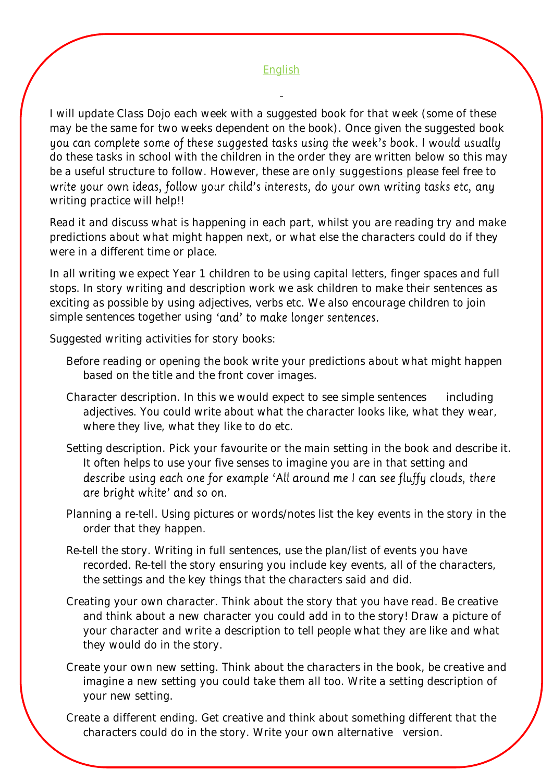#### *English*

*I* will update Class Dojo each week with a suggested book for that week (some of these *may be the same for two weeks dependent on the book). Once given the suggested book*  you can complete some of these suggested tasks using the week's book. I would usually *do these tasks in school with the children in the order they are written below so this may be a useful structure to follow. However, these are only suggestions please feel free to*  write your own ideas, follow your child's interests, do your own writing tasks etc, any *writing practice will help!!*

*Read it and discuss what is happening in each part, whilst you are reading try and make predictions about what might happen next, or what else the characters could do if they were in a different time or place.*

*In all writing we expect Year 1 children to be using capital letters, finger spaces and full stops. In story writing and description work we ask children to make their sentences as exciting as possible by using adjectives, verbs etc. We also encourage children to join simple sentences together using* 

*Suggested writing activities for story books:*

*Write a simple book review.*

- *Before reading or opening the book write your predictions about what might happen based on the title and the front cover images.*
- *Character description. In this we would expect to see simple sentences including adjectives. You could write about what the character looks like, what they wear, where they live, what they like to do etc.*
- *Setting description. Pick your favourite or the main setting in the book and describe it. It often helps to use your five senses to imagine you are in that setting and*  describe using each one for example 'All around me I can see fluffy clouds, there are bright white' and so on.
- *Planning a re-tell. Using pictures or words/notes list the key events in the story in the order that they happen.*
- *Re-tell the story. Writing in full sentences, use the plan/list of events you have recorded. Re-tell the story ensuring you include key events, all of the characters, the settings and the key things that the characters said and did.*
- *Creating your own character. Think about the story that you have read. Be creative*  and think about a new character you could add in to the story! Draw a picture of *your character and write a description to tell people what they are like and what they would do in the story.*
- *Create your own new setting. Think about the characters in the book, be creative and imagine a new setting you could take them all too. Write a setting description of your new setting.*
- *Create a different ending. Get creative and think about something different that the characters could do in the story. Write your own alternative version.*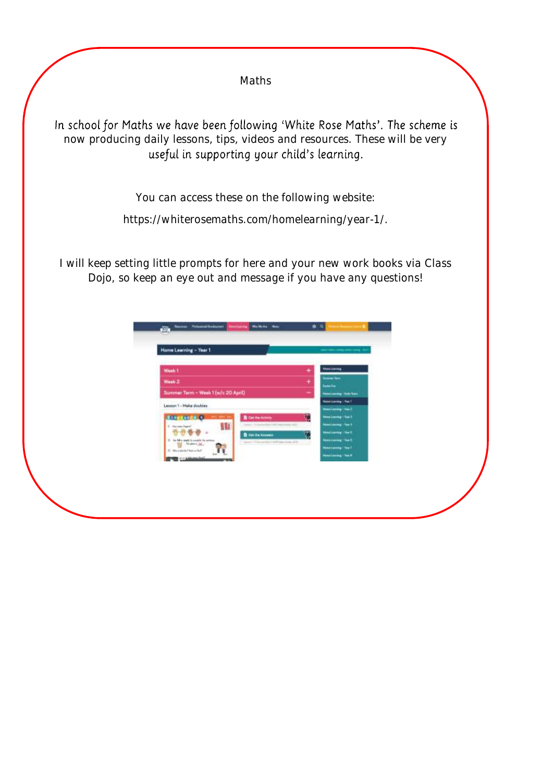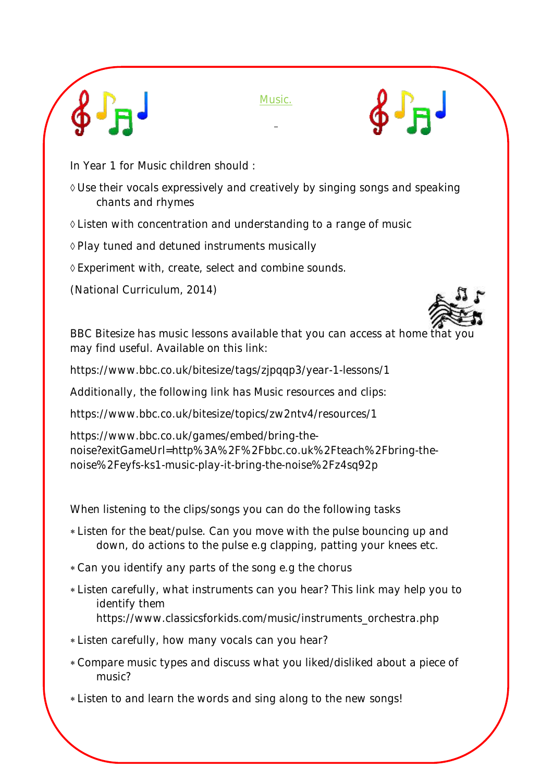

*Music.*



*In Year 1 for Music children should :*

- *Use their vocals expressively and creatively by singing songs and speaking chants and rhymes*
- *Listen with concentration and understanding to a range of music*
- *Play tuned and detuned instruments musically*
- *Experiment with, create, select and combine sounds.*

*(National Curriculum, 2014)*



*BBC Bitesize has music lessons available that you can access at home that you may find useful. Available on this link:* 

*https://www.bbc.co.uk/bitesize/tags/zjpqqp3/year-1-lessons/1*

*Additionally, the following link has Music resources and clips:*

*https://www.bbc.co.uk/bitesize/topics/zw2ntv4/resources/1*

*https://www.bbc.co.uk/games/embed/bring-thenoise?exitGameUrl=http%3A%2F%2Fbbc.co.uk%2Fteach%2Fbring-thenoise%2Feyfs-ks1-music-play-it-bring-the-noise%2Fz4sq92p*

*When listening to the clips/songs you can do the following tasks* 

- *Listen for the beat/pulse. Can you move with the pulse bouncing up and down, do actions to the pulse e.g clapping, patting your knees etc.*
- *Can you identify any parts of the song e.g the chorus*
- *Listen carefully, what instruments can you hear? This link may help you to identify them https://www.classicsforkids.com/music/instruments\_orchestra.php*
- *Listen carefully, how many vocals can you hear?*
- *Compare music types and discuss what you liked/disliked about a piece of music?*

*After you have completed your DT project to create a musical instrument (See separate sheet for task), you can then try performing some of these songs of* 

*Listen to and learn the words and sing along to the new songs!*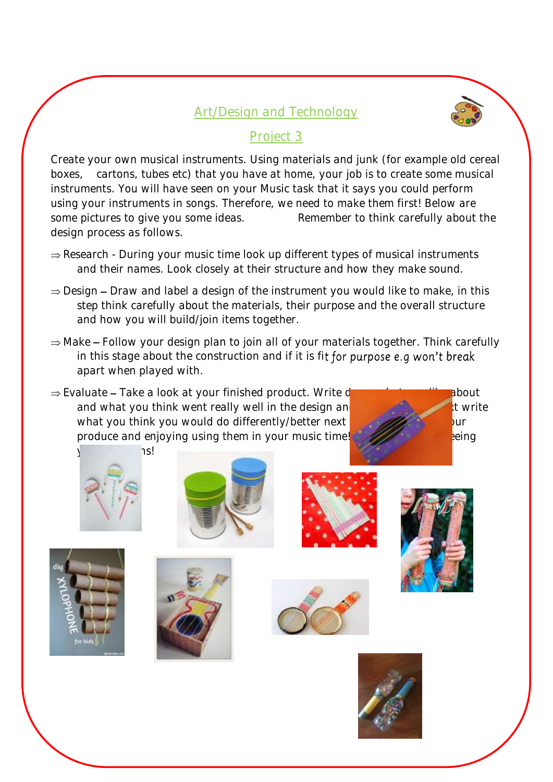# *Art/Design and Technology*



### *Project 3*

*Create your own musical instruments. Using materials and junk (for example old cereal boxes, cartons, tubes etc) that you have at home, your job is to create some musical instruments. You will have seen on your Music task that it says you could perform using your instruments in songs. Therefore, we need to make them first! Below are some pictures to give you some ideas.* Remember to think carefully about the *design process as follows.*

- *Research - During your music time look up different types of musical instruments and their names. Look closely at their structure and how they make sound.*
- ⇒ Design Draw and label a design of the instrument you would like to make, in this *step think carefully about the materials, their purpose and the overall structure and how you will build/join items together.*
- *Make Follow your design plan to join all of your materials together. Think carefully*  in this stage about the construction and if it is fit for purpose e.g won't break *apart when played with.*
- ⇒ Evaluate Take a look at your finished product. Write down what you like about and what you think went really well in the design and make process. Next write *what you think you would do differently/better next* the state of the *bur produce and enjoying using them in your music time. I look for a seing*  $2S$

















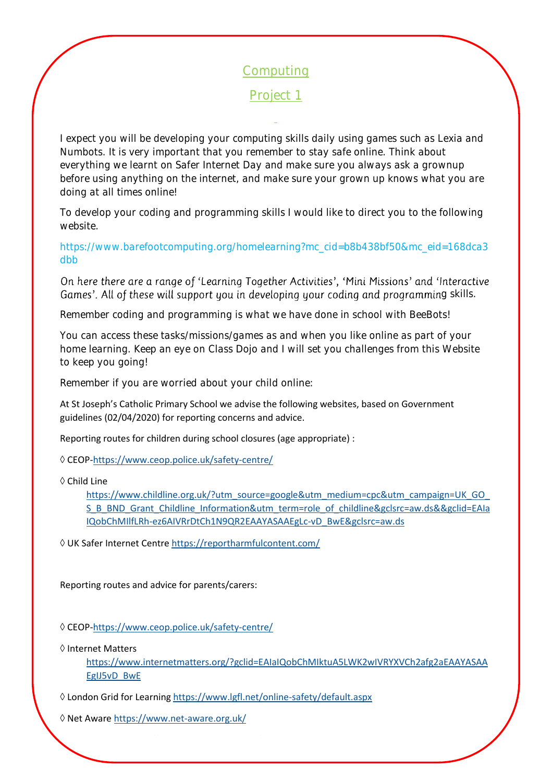*Computing* 

*Project 1*

*I expect you will be developing your computing skills daily using games such as Lexia and Numbots. It is very important that you remember to stay safe online. Think about everything we learnt on Safer Internet Day and make sure you always ask a grownup before using anything on the internet, and make sure your grown up knows what you are doing at all times online!*

*To develop your coding and programming skills I would like to direct you to the following website.* 

*https://www.barefootcomputing.org/homelearning?mc\_cid=b8b438bf50&mc\_eid=168dca3 dbb* 

On here there are a range of 'Learning Together Activities', 'Mini Missions' and 'Interactive Games'. All of these will support you in developing your coding and programming skills.

*Remember coding and programming is what we have done in school with BeeBots!*

*You can access these tasks/missions/games as and when you like online as part of your home learning. Keep an eye on Class Dojo and I will set you challenges from this Website to keep you going!* 

*Remember if you are worried about your child online:* 

At St Joseph's Catholic Primary School we advise the following websites, based on Government guidelines (02/04/2020) for reporting concerns and advice.

Reporting routes for children during school closures (age appropriate) :

CEOP[-https://www.ceop.police.uk/safety-centre/](https://www.ceop.police.uk/safety-centre/)

 $\Diamond$  Child Line

[https://www.childline.org.uk/?utm\\_source=google&utm\\_medium=cpc&utm\\_campaign=UK\\_GO\\_](https://www.childline.org.uk/?utm_source=google&utm_medium=cpc&utm_campaign=UK_GO_S_B_BND_Grant_Childline_Information&utm_term=role_of_childline&gclsrc=aw.ds&&gclid=EAIaIQobChMIlfLRh-ez6AIVRrDtCh1N9QR2EAAYASAAEgLc-vD_BwE&gclsrc=aw.ds) [S\\_B\\_BND\\_Grant\\_Childline\\_Information&utm\\_term=role\\_of\\_childline&gclsrc=aw.ds&&gclid=EAIa](https://www.childline.org.uk/?utm_source=google&utm_medium=cpc&utm_campaign=UK_GO_S_B_BND_Grant_Childline_Information&utm_term=role_of_childline&gclsrc=aw.ds&&gclid=EAIaIQobChMIlfLRh-ez6AIVRrDtCh1N9QR2EAAYASAAEgLc-vD_BwE&gclsrc=aw.ds) [IQobChMIlfLRh-ez6AIVRrDtCh1N9QR2EAAYASAAEgLc-vD\\_BwE&gclsrc=aw.ds](https://www.childline.org.uk/?utm_source=google&utm_medium=cpc&utm_campaign=UK_GO_S_B_BND_Grant_Childline_Information&utm_term=role_of_childline&gclsrc=aw.ds&&gclid=EAIaIQobChMIlfLRh-ez6AIVRrDtCh1N9QR2EAAYASAAEgLc-vD_BwE&gclsrc=aw.ds)

UK Safer Internet Centre<https://reportharmfulcontent.com/>

Reporting routes and advice for parents/carers:

CEOP[-https://www.ceop.police.uk/safety-centre/](https://www.ceop.police.uk/safety-centre/)

 $\Diamond$  Internet Matters

[https://www.internetmatters.org/?gclid=EAIaIQobChMIktuA5LWK2wIVRYXVCh2afg2aEAAYASAA](https://www.internetmatters.org/?gclid=EAIaIQobChMIktuA5LWK2wIVRYXVCh2afg2aEAAYASAAEgIJ5vD_BwE) [EgIJ5vD\\_BwE](https://www.internetmatters.org/?gclid=EAIaIQobChMIktuA5LWK2wIVRYXVCh2afg2aEAAYASAAEgIJ5vD_BwE)

London Grid for Learnin[g https://www.lgfl.net/online-safety/default.aspx](https://www.lgfl.net/online-safety/default.aspx)

Net Awar[e https://www.net-aware.org.uk/](https://www.net-aware.org.uk/)

Parent inf[o https://parentinfo.org/](https://parentinfo.org/) 

Think-u-kno[w https://www.thinkuknow.co.uk/](https://www.thinkuknow.co.uk/)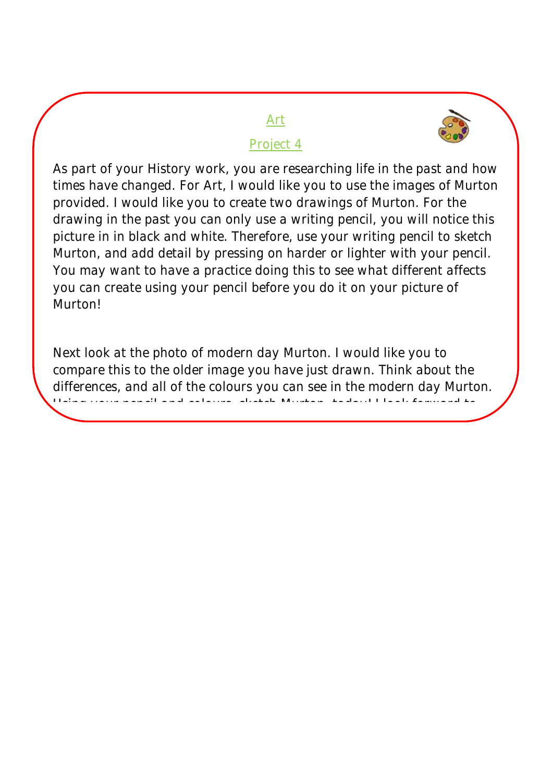# *Art*

## *Project 4*



*As part of your History work, you are researching life in the past and how times have changed. For Art, I would like you to use the images of Murton provided. I would like you to create two drawings of Murton. For the drawing in the past you can only use a writing pencil, you will notice this picture in in black and white. Therefore, use your writing pencil to sketch Murton, and add detail by pressing on harder or lighter with your pencil. You may want to have a practice doing this to see what different affects you can create using your pencil before you do it on your picture of Murton!* 

*Next look at the photo of modern day Murton. I would like you to compare this to the older image you have just drawn. Think about the differences, and all of the colours you can see in the modern day Murton. Using your pencil and colours, sketch Murton, today! I look forward to* 

*seeing your drawings and the differences on your drawing on the past to*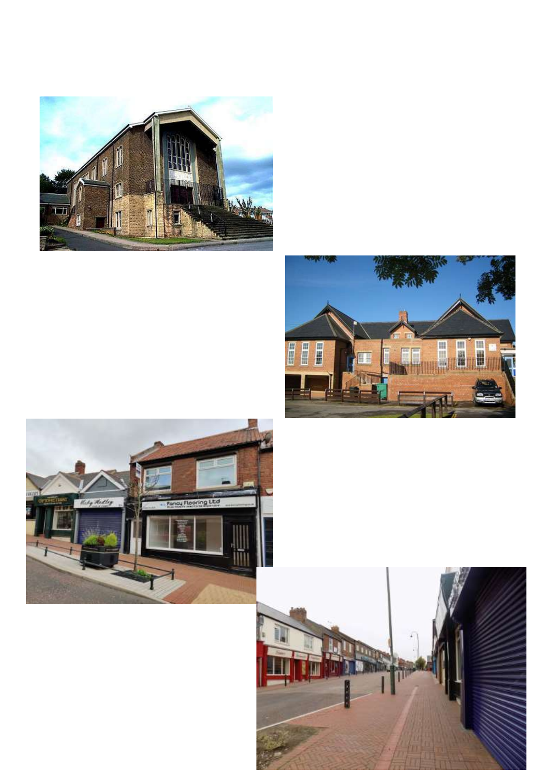